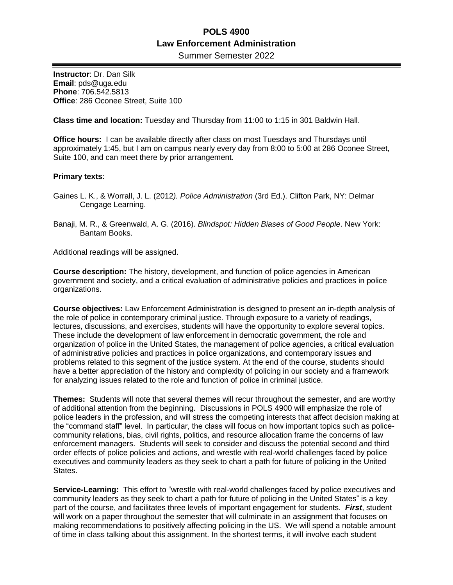Summer Semester 2022

**Instructor**: Dr. Dan Silk **Email**: pds@uga.edu **Phone**: 706.542.5813 **Office**: 286 Oconee Street, Suite 100

**Class time and location:** Tuesday and Thursday from 11:00 to 1:15 in 301 Baldwin Hall.

**Office hours:** I can be available directly after class on most Tuesdays and Thursdays until approximately 1:45, but I am on campus nearly every day from 8:00 to 5:00 at 286 Oconee Street, Suite 100, and can meet there by prior arrangement.

### **Primary texts**:

- Gaines L. K., & Worrall, J. L. (2012*). Police Administration* (3rd Ed.). Clifton Park, NY: Delmar Cengage Learning.
- Banaji, M. R., & Greenwald, A. G. (2016). *Blindspot: Hidden Biases of Good People*. New York: Bantam Books.

Additional readings will be assigned.

**Course description:** The history, development, and function of police agencies in American government and society, and a critical evaluation of administrative policies and practices in police organizations.

**Course objectives:** Law Enforcement Administration is designed to present an in-depth analysis of the role of police in contemporary criminal justice. Through exposure to a variety of readings, lectures, discussions, and exercises, students will have the opportunity to explore several topics. These include the development of law enforcement in democratic government, the role and organization of police in the United States, the management of police agencies, a critical evaluation of administrative policies and practices in police organizations, and contemporary issues and problems related to this segment of the justice system. At the end of the course, students should have a better appreciation of the history and complexity of policing in our society and a framework for analyzing issues related to the role and function of police in criminal justice.

**Themes:** Students will note that several themes will recur throughout the semester, and are worthy of additional attention from the beginning. Discussions in POLS 4900 will emphasize the role of police leaders in the profession, and will stress the competing interests that affect decision making at the "command staff" level. In particular, the class will focus on how important topics such as policecommunity relations, bias, civil rights, politics, and resource allocation frame the concerns of law enforcement managers. Students will seek to consider and discuss the potential second and third order effects of police policies and actions, and wrestle with real-world challenges faced by police executives and community leaders as they seek to chart a path for future of policing in the United States.

**Service-Learning:** This effort to "wrestle with real-world challenges faced by police executives and community leaders as they seek to chart a path for future of policing in the United States" is a key part of the course, and facilitates three levels of important engagement for students. *First*, student will work on a paper throughout the semester that will culminate in an assignment that focuses on making recommendations to positively affecting policing in the US. We will spend a notable amount of time in class talking about this assignment. In the shortest terms, it will involve each student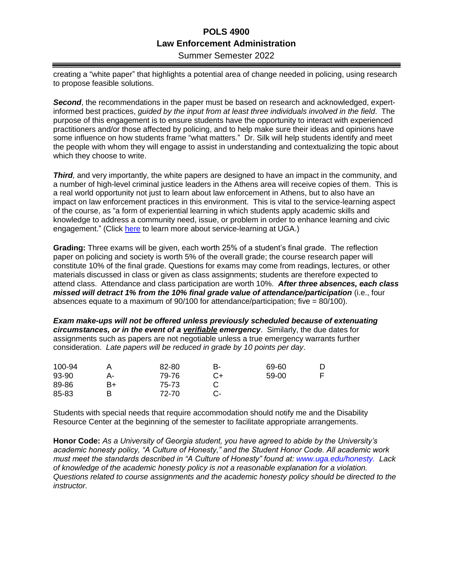Summer Semester 2022

creating a "white paper" that highlights a potential area of change needed in policing, using research to propose feasible solutions.

*Second*, the recommendations in the paper must be based on research and acknowledged, expertinformed best practices, *guided by the input from at least three individuals involved in the field*. The purpose of this engagement is to ensure students have the opportunity to interact with experienced practitioners and/or those affected by policing, and to help make sure their ideas and opinions have some influence on how students frame "what matters." Dr. Silk will help students identify and meet the people with whom they will engage to assist in understanding and contextualizing the topic about which they choose to write.

*Third,* and very importantly, the white papers are designed to have an impact in the community, and a number of high-level criminal justice leaders in the Athens area will receive copies of them. This is a real world opportunity not just to learn about law enforcement in Athens, but to also have an impact on law enforcement practices in this environment. This is vital to the service-learning aspect of the course, as "a form of experiential learning in which students apply academic skills and knowledge to address a community need, issue, or problem in order to enhance learning and civic engagement." (Click [here](https://servicelearning.uga.edu/sites/default/files/osl_sl_course_design_tips_2015_1.pdf.) to learn more about service-learning at UGA.)

**Grading:** Three exams will be given, each worth 25% of a student's final grade. The reflection paper on policing and society is worth 5% of the overall grade; the course research paper will constitute 10% of the final grade. Questions for exams may come from readings, lectures, or other materials discussed in class or given as class assignments; students are therefore expected to attend class. Attendance and class participation are worth 10%. *After three absences, each class missed will detract 1% from the 10% final grade value of attendance/participation* (i.e., four absences equate to a maximum of 90/100 for attendance/participation; five = 80/100).

*Exam make-ups will not be offered unless previously scheduled because of extenuating circumstances, or in the event of a verifiable emergency*. Similarly, the due dates for assignments such as papers are not negotiable unless a true emergency warrants further consideration. *Late papers will be reduced in grade by 10 points per day*.

| 100-94 |    | 82-80 | B- | 69-60 |  |
|--------|----|-------|----|-------|--|
| 93-90  | А- | 79-76 | C+ | 59-00 |  |
| 89-86  | B+ | 75-73 |    |       |  |
| 85-83  | в  | 72-70 |    |       |  |

Students with special needs that require accommodation should notify me and the Disability Resource Center at the beginning of the semester to facilitate appropriate arrangements.

**Honor Code:** *As a University of Georgia student, you have agreed to abide by the University's academic honesty policy, "A Culture of Honesty," and the Student Honor Code. All academic work must meet the standards described in "A Culture of Honesty" found at: www.uga.edu/honesty. Lack of knowledge of the academic honesty policy is not a reasonable explanation for a violation. Questions related to course assignments and the academic honesty policy should be directed to the instructor.*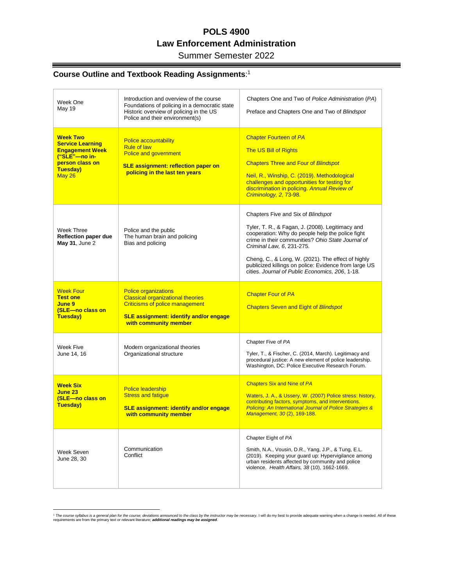### Summer Semester 2022

═

#### **Course Outline and Textbook Reading Assignments**: 1

Ξ

| Week One<br>May 19                                                                                                             | Introduction and overview of the course<br>Foundations of policing in a democratic state<br>Historic overview of policing in the US<br>Police and their environment(s)                      | Chapters One and Two of Police Administration (PA)<br>Preface and Chapters One and Two of Blindspot                                                                                                                                                                                                                                                                                            |
|--------------------------------------------------------------------------------------------------------------------------------|---------------------------------------------------------------------------------------------------------------------------------------------------------------------------------------------|------------------------------------------------------------------------------------------------------------------------------------------------------------------------------------------------------------------------------------------------------------------------------------------------------------------------------------------------------------------------------------------------|
| <b>Week Two</b><br><b>Service Learning</b><br><b>Engagement Week</b><br>("SLE"-no in-<br>person class on<br>Tuesday)<br>May 26 | <b>Police accountability</b><br><b>Rule of law</b><br><b>Police and government</b><br><b>SLE assignment: reflection paper on</b><br>policing in the last ten years                          | <b>Chapter Fourteen of PA</b><br><b>The US Bill of Rights</b><br><b>Chapters Three and Four of Blindspot</b><br>Neil, R., Winship, C. (2019). Methodological<br>challenges and opportunities for testing for<br>discrimination in policing. Annual Review of<br>Criminology, 2, 73-98.                                                                                                         |
| Week Three<br>Reflection paper due<br>May 31, June 2                                                                           | Police and the public<br>The human brain and policing<br>Bias and policing                                                                                                                  | Chapters Five and Six of Blindspot<br>Tyler, T. R., & Fagan, J. (2008). Legitimacy and<br>cooperation: Why do people help the police fight<br>crime in their communities? Ohio State Journal of<br>Criminal Law, 6, 231-275.<br>Cheng, C., & Long, W. (2021). The effect of highly<br>publicized killings on police: Evidence from large US<br>cities. Journal of Public Economics, 206, 1-18. |
| <b>Week Four</b><br><b>Test one</b><br>June 9<br>(SLE-no class on<br>Tuesday)                                                  | <b>Police organizations</b><br><b>Classical organizational theories</b><br><b>Criticisms of police management</b><br><b>SLE assignment: identify and/or engage</b><br>with community member | <b>Chapter Four of PA</b><br><b>Chapters Seven and Eight of Blindspot</b>                                                                                                                                                                                                                                                                                                                      |
| Week Five<br>June 14, 16                                                                                                       | Modern organizational theories<br>Organizational structure                                                                                                                                  | Chapter Five of PA<br>Tyler, T., & Fischer, C. (2014, March). Legitimacy and<br>procedural justice: A new element of police leadership.<br>Washington, DC: Police Executive Research Forum.                                                                                                                                                                                                    |
| <b>Week Six</b><br>June 23<br>(SLE-no class on<br>Tuesday)                                                                     | <b>Police leadership</b><br><b>Stress and fatigue</b><br><b>SLE assignment: identify and/or engage</b><br>with community member                                                             | <b>Chapters Six and Nine of PA</b><br>Waters, J. A., & Ussery, W. (2007) Police stress: history,<br>contributing factors, symptoms, and interventions.<br><b>Policing: An International Journal of Police Strategies &amp;</b><br>Management, 30(2), 169-188.                                                                                                                                  |
| Week Seven<br>June 28, 30                                                                                                      | Communication<br>Conflict                                                                                                                                                                   | Chapter Eight of PA<br>Smith, N.A., Vousin, D.R., Yang, J.P., & Tung, E.L.<br>(2019). Keeping your quard up: Hypervigilance among<br>urban residents affected by community and police<br>violence. Health Affairs, 38 (10), 1662-1669.                                                                                                                                                         |

The course syllabus is a general plan for the course; deviations announced to the class by the instructor may be necessary. I will do my best to provide adequate warning when a change is needed. All of these